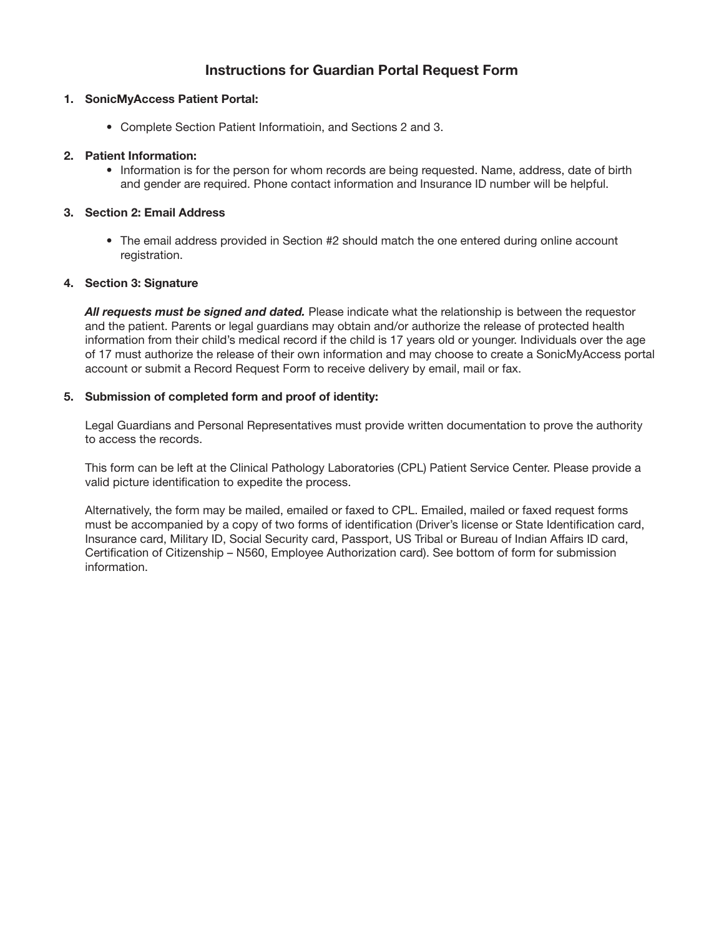# **Instructions for Guardian Portal Request Form**

#### **1. SonicMyAccess Patient Portal:**

• Complete Section Patient Informatioin, and Sections 2 and 3.

## **2. Patient Information:**

• Information is for the person for whom records are being requested. Name, address, date of birth and gender are required. Phone contact information and Insurance ID number will be helpful.

## **3. Section 2: Email Address**

• The email address provided in Section #2 should match the one entered during online account registration.

#### **4. Section 3: Signature**

*All requests must be signed and dated.* Please indicate what the relationship is between the requestor and the patient. Parents or legal guardians may obtain and/or authorize the release of protected health information from their child's medical record if the child is 17 years old or younger. Individuals over the age of 17 must authorize the release of their own information and may choose to create a SonicMyAccess portal account or submit a Record Request Form to receive delivery by email, mail or fax.

#### **5. Submission of completed form and proof of identity:**

Legal Guardians and Personal Representatives must provide written documentation to prove the authority to access the records.

This form can be left at the Clinical Pathology Laboratories (CPL) Patient Service Center. Please provide a valid picture identification to expedite the process.

Alternatively, the form may be mailed, emailed or faxed to CPL. Emailed, mailed or faxed request forms must be accompanied by a copy of two forms of identification (Driver's license or State Identification card, Insurance card, Military ID, Social Security card, Passport, US Tribal or Bureau of Indian Affairs ID card, Certification of Citizenship – N560, Employee Authorization card). See bottom of form for submission information.